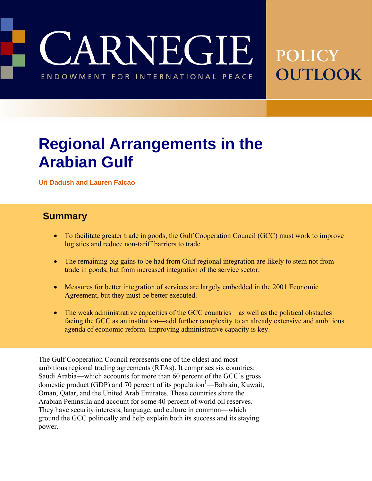CARNEGIE

ENDOWMENT FOR INTERNATIONAL PEACE

# **POLICY** OUTLOOK

## **Regional Arrangements in the Arabian Gulf**

**Uri Dadush and Lauren Falcao** 

#### **Summary**

- To facilitate greater trade in goods, the Gulf Cooperation Council (GCC) must work to improve logistics and reduce non-tariff barriers to trade.
- The remaining big gains to be had from Gulf regional integration are likely to stem not from trade in goods, but from increased integration of the service sector.
- Measures for better integration of services are largely embedded in the 2001 Economic Agreement, but they must be better executed.
- The weak administrative capacities of the GCC countries—as well as the political obstacles facing the GCC as an institution—add further complexity to an already extensive and ambitious agenda of economic reform. Improving administrative capacity is key.

The Gulf Cooperation Council represents one of the oldest and most ambitious regional trading agreements (RTAs). It comprises six countries: Saudi Arabia—which accounts for more than 60 percent of the GCC's gross domestic product (GDP) and 70 percent of its population<sup>1</sup>—Bahrain, Kuwait, Oman, Qatar, and the United Arab Emirates. These countries share the Arabian Peninsula and account for some 40 percent of world oil reserves. They have security interests, language, and culture in common—which ground the GCC politically and help explain both its success and its staying power.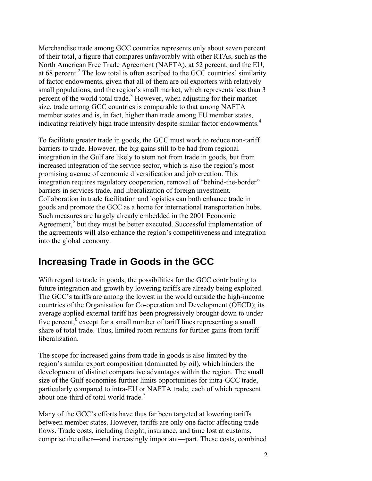Merchandise trade among GCC countries represents only about seven percent of their total, a figure that compares unfavorably with other RTAs, such as the North American Free Trade Agreement (NAFTA), at 52 percent, and the EU, at 68 percent.<sup>2</sup> The low total is often ascribed to the GCC countries' similarity of factor endowments, given that all of them are oil exporters with relatively small populations, and the region's small market, which represents less than 3 percent of the world total trade.<sup>3</sup> However, when adjusting for their market size, trade among GCC countries is comparable to that among NAFTA member states and is, in fact, higher than trade among EU member states, indicating relatively high trade intensity despite similar factor endowments.<sup>4</sup>

To facilitate greater trade in goods, the GCC must work to reduce non-tariff barriers to trade. However, the big gains still to be had from regional integration in the Gulf are likely to stem not from trade in goods, but from increased integration of the service sector, which is also the region's most promising avenue of economic diversification and job creation. This integration requires regulatory cooperation, removal of "behind-the-border" barriers in services trade, and liberalization of foreign investment*.*  Collaboration in trade facilitation and logistics can both enhance trade in goods and promote the GCC as a home for international transportation hubs. Such measures are largely already embedded in the 2001 Economic Agreement,<sup>5</sup> but they must be better executed. Successful implementation of the agreements will also enhance the region's competitiveness and integration into the global economy.

### **Increasing Trade in Goods in the GCC**

With regard to trade in goods, the possibilities for the GCC contributing to future integration and growth by lowering tariffs are already being exploited. The GCC's tariffs are among the lowest in the world outside the high-income countries of the Organisation for Co-operation and Development (OECD); its average applied external tariff has been progressively brought down to under five percent,<sup>6</sup> except for a small number of tariff lines representing a small share of total trade. Thus, limited room remains for further gains from tariff liberalization.

The scope for increased gains from trade in goods is also limited by the region's similar export composition (dominated by oil), which hinders the development of distinct comparative advantages within the region. The small size of the Gulf economies further limits opportunities for intra-GCC trade, particularly compared to intra-EU or NAFTA trade, each of which represent about one-third of total world trade.<sup>7</sup>

Many of the GCC's efforts have thus far been targeted at lowering tariffs between member states. However, tariffs are only one factor affecting trade flows. Trade costs, including freight, insurance, and time lost at customs, comprise the other—and increasingly important—part. These costs, combined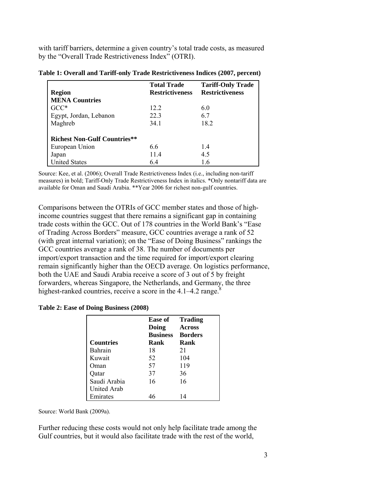with tariff barriers, determine a given country's total trade costs, as measured by the "Overall Trade Restrictiveness Index" (OTRI).

|                                     | <b>Total Trade</b>     | <b>Tariff-Only Trade</b> |
|-------------------------------------|------------------------|--------------------------|
| <b>Region</b>                       | <b>Restrictiveness</b> | <b>Restrictiveness</b>   |
| <b>MENA Countries</b>               |                        |                          |
| $GCC^*$                             | 12.2                   | 6.0                      |
| Egypt, Jordan, Lebanon              | 223                    | 6.7                      |
| Maghreb                             | 34.1                   | 18.2                     |
| <b>Richest Non-Gulf Countries**</b> |                        |                          |
| European Union                      | 66                     | 14                       |
| Japan                               | 114                    | 4.5                      |
| <b>United States</b>                | 6.4                    | 16                       |

|  |  |  | Table 1: Overall and Tariff-only Trade Restrictiveness Indices (2007, percent) |  |  |
|--|--|--|--------------------------------------------------------------------------------|--|--|
|--|--|--|--------------------------------------------------------------------------------|--|--|

Source: Kee, et al. (2006); Overall Trade Restrictiveness Index (i.e., including non-tariff measures) in bold; Tariff-Only Trade Restrictiveness Index in italics. \*Only nontariff data are available for Oman and Saudi Arabia. \*\*Year 2006 for richest non-gulf countries.

Comparisons between the OTRIs of GCC member states and those of highincome countries suggest that there remains a significant gap in containing trade costs within the GCC. Out of 178 countries in the World Bank's "Ease of Trading Across Borders" measure, GCC countries average a rank of 52 (with great internal variation); on the "Ease of Doing Business" rankings the GCC countries average a rank of 38. The number of documents per import/export transaction and the time required for import/export clearing remain significantly higher than the OECD average. On logistics performance, both the UAE and Saudi Arabia receive a score of 3 out of 5 by freight forwarders, whereas Singapore, the Netherlands, and Germany, the three highest-ranked countries, receive a score in the  $4.1-4.2$  range.<sup>8</sup>

**Table 2: Ease of Doing Business (2008)** 

| <b>Countries</b> | Ease of<br>Doing<br><b>Business</b><br>Rank | Trading<br>Across<br><b>Borders</b><br>Rank |
|------------------|---------------------------------------------|---------------------------------------------|
| Bahrain          | 18                                          | 21                                          |
| Kuwait           | 52                                          | 104                                         |
| Oman)            | 57                                          | 119                                         |
| Oatar            | 37                                          | 36                                          |
| Saudi Arabia     | 16                                          | 16                                          |
| United Arab      |                                             |                                             |
| Emirates         |                                             | 14                                          |

Source: World Bank (2009a).

Further reducing these costs would not only help facilitate trade among the Gulf countries, but it would also facilitate trade with the rest of the world,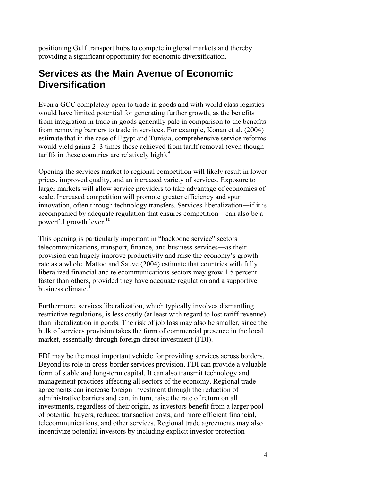positioning Gulf transport hubs to compete in global markets and thereby providing a significant opportunity for economic diversification.

#### **Services as the Main Avenue of Economic Diversification**

Even a GCC completely open to trade in goods and with world class logistics would have limited potential for generating further growth, as the benefits from integration in trade in goods generally pale in comparison to the benefits from removing barriers to trade in services. For example, Konan et al. (2004) estimate that in the case of Egypt and Tunisia, comprehensive service reforms would yield gains 2–3 times those achieved from tariff removal (even though tariffs in these countries are relatively high). $9$ 

Opening the services market to regional competition will likely result in lower prices, improved quality, and an increased variety of services. Exposure to larger markets will allow service providers to take advantage of economies of scale. Increased competition will promote greater efficiency and spur innovation, often through technology transfers. Services liberalization―if it is accompanied by adequate regulation that ensures competition―can also be a powerful growth lever. $10$ 

This opening is particularly important in "backbone service" sectors― telecommunications, transport, finance, and business services―as their provision can hugely improve productivity and raise the economy's growth rate as a whole. Mattoo and Sauve (2004) estimate that countries with fully liberalized financial and telecommunications sectors may grow 1.5 percent faster than others, provided they have adequate regulation and a supportive business climate.<sup>1</sup>

Furthermore, services liberalization, which typically involves dismantling restrictive regulations, is less costly (at least with regard to lost tariff revenue) than liberalization in goods. The risk of job loss may also be smaller, since the bulk of services provision takes the form of commercial presence in the local market, essentially through foreign direct investment (FDI).

FDI may be the most important vehicle for providing services across borders. Beyond its role in cross-border services provision, FDI can provide a valuable form of stable and long-term capital. It can also transmit technology and management practices affecting all sectors of the economy. Regional trade agreements can increase foreign investment through the reduction of administrative barriers and can, in turn, raise the rate of return on all investments, regardless of their origin, as investors benefit from a larger pool of potential buyers, reduced transaction costs, and more efficient financial, telecommunications, and other services. Regional trade agreements may also incentivize potential investors by including explicit investor protection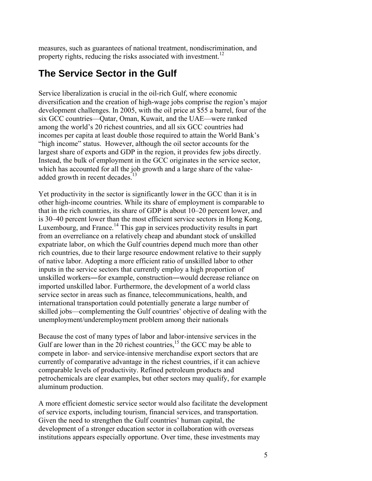measures, such as guarantees of national treatment, nondiscrimination, and property rights, reducing the risks associated with investment.<sup>12</sup>

### **The Service Sector in the Gulf**

Service liberalization is crucial in the oil-rich Gulf, where economic diversification and the creation of high-wage jobs comprise the region's major development challenges. In 2005, with the oil price at \$55 a barrel, four of the six GCC countries—Qatar, Oman, Kuwait, and the UAE—were ranked among the world's 20 richest countries, and all six GCC countries had incomes per capita at least double those required to attain the World Bank's "high income" status. However, although the oil sector accounts for the largest share of exports and GDP in the region, it provides few jobs directly. Instead, the bulk of employment in the GCC originates in the service sector, which has accounted for all the job growth and a large share of the valueadded growth in recent decades.<sup>13</sup>

Yet productivity in the sector is significantly lower in the GCC than it is in other high-income countries. While its share of employment is comparable to that in the rich countries, its share of GDP is about 10–20 percent lower, and is 30–40 percent lower than the most efficient service sectors in Hong Kong, Luxembourg, and France.<sup>14</sup> This gap in services productivity results in part from an overreliance on a relatively cheap and abundant stock of unskilled expatriate labor, on which the Gulf countries depend much more than other rich countries, due to their large resource endowment relative to their supply of native labor. Adopting a more efficient ratio of unskilled labor to other inputs in the service sectors that currently employ a high proportion of unskilled workers―for example, construction―would decrease reliance on imported unskilled labor. Furthermore, the development of a world class service sector in areas such as finance, telecommunications, health, and international transportation could potentially generate a large number of skilled jobs—complementing the Gulf countries' objective of dealing with the unemployment/underemployment problem among their nationals

Because the cost of many types of labor and labor-intensive services in the Gulf are lower than in the  $20$  richest countries, <sup>15</sup> the GCC may be able to compete in labor- and service-intensive merchandise export sectors that are currently of comparative advantage in the richest countries, if it can achieve comparable levels of productivity. Refined petroleum products and petrochemicals are clear examples, but other sectors may qualify, for example aluminum production.

A more efficient domestic service sector would also facilitate the development of service exports, including tourism, financial services, and transportation. Given the need to strengthen the Gulf countries' human capital, the development of a stronger education sector in collaboration with overseas institutions appears especially opportune. Over time, these investments may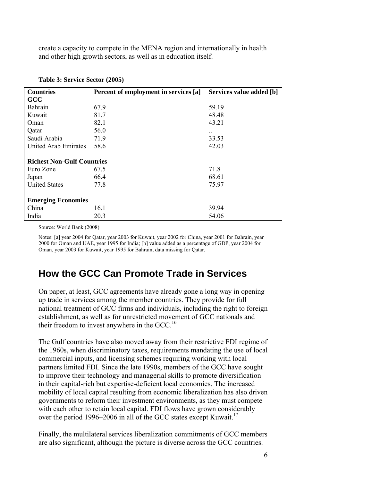create a capacity to compete in the MENA region and internationally in health and other high growth sectors, as well as in education itself.

| <b>Countries</b>                  | Percent of employment in services [a] | Services value added [b] |
|-----------------------------------|---------------------------------------|--------------------------|
| <b>GCC</b>                        |                                       |                          |
| Bahrain                           | 67.9                                  | 59.19                    |
| Kuwait                            | 81.7                                  | 48.48                    |
| Oman                              | 82.1                                  | 43.21                    |
| Qatar                             | 56.0                                  | $\ddotsc$                |
| Saudi Arabia                      | 71.9                                  | 33.53                    |
| United Arab Emirates              | 58.6                                  | 42.03                    |
|                                   |                                       |                          |
| <b>Richest Non-Gulf Countries</b> |                                       |                          |
| Euro Zone                         | 67.5                                  | 71.8                     |
| Japan                             | 66.4                                  | 68.61                    |
| <b>United States</b>              | 77.8                                  | 75.97                    |
|                                   |                                       |                          |
| <b>Emerging Economies</b>         |                                       |                          |
| China                             | 16.1                                  | 39.94                    |
| India                             | 20.3                                  | 54.06                    |

| Table 3: Service Sector (2005) |  |
|--------------------------------|--|
|--------------------------------|--|

Source: World Bank (2008)

Notes: [a] year 2004 for Qatar, year 2003 for Kuwait, year 2002 for China, year 2001 for Bahrain, year 2000 for Oman and UAE, year 1995 for India; [b] value added as a percentage of GDP, year 2004 for Oman, year 2003 for Kuwait, year 1995 for Bahrain, data missing for Qatar.

#### **How the GCC Can Promote Trade in Services**

On paper, at least, GCC agreements have already gone a long way in opening up trade in services among the member countries. They provide for full national treatment of GCC firms and individuals, including the right to foreign establishment, as well as for unrestricted movement of GCC nationals and their freedom to invest anywhere in the GCC.<sup>16</sup>

The Gulf countries have also moved away from their restrictive FDI regime of the 1960s, when discriminatory taxes, requirements mandating the use of local commercial inputs, and licensing schemes requiring working with local partners limited FDI. Since the late 1990s, members of the GCC have sought to improve their technology and managerial skills to promote diversification in their capital-rich but expertise-deficient local economies. The increased mobility of local capital resulting from economic liberalization has also driven governments to reform their investment environments, as they must compete with each other to retain local capital. FDI flows have grown considerably over the period 1996–2006 in all of the GCC states except Kuwait.<sup>17</sup>

Finally, the multilateral services liberalization commitments of GCC members are also significant, although the picture is diverse across the GCC countries.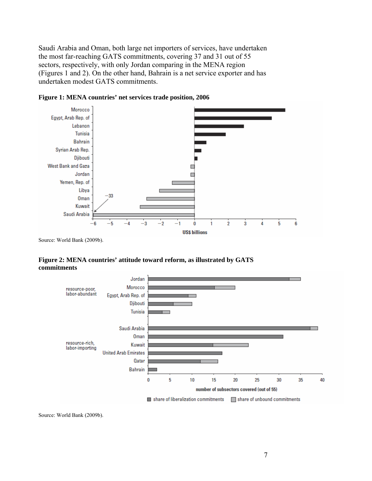Saudi Arabia and Oman, both large net importers of services, have undertaken the most far-reaching GATS commitments, covering 37 and 31 out of 55 sectors, respectively, with only Jordan comparing in the MENA region (Figures 1 and 2). On the other hand, Bahrain is a net service exporter and has undertaken modest GATS commitments.



**Figure 1: MENA countries' net services trade position, 2006**

**Figure 2: MENA countries' attitude toward reform, as illustrated by GATS commitments** 



Source: World Bank (2009b).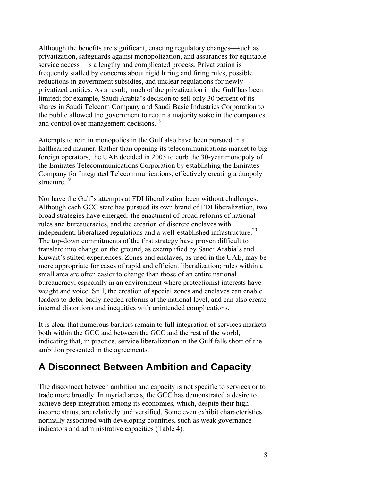Although the benefits are significant, enacting regulatory changes—such as privatization, safeguards against monopolization, and assurances for equitable service access—is a lengthy and complicated process. Privatization is frequently stalled by concerns about rigid hiring and firing rules, possible reductions in government subsidies, and unclear regulations for newly privatized entities. As a result, much of the privatization in the Gulf has been limited; for example, Saudi Arabia's decision to sell only 30 percent of its shares in Saudi Telecom Company and Saudi Basic Industries Corporation to the public allowed the government to retain a majority stake in the companies and control over management decisions.<sup>18</sup>

Attempts to rein in monopolies in the Gulf also have been pursued in a halfhearted manner. Rather than opening its telecommunications market to big foreign operators, the UAE decided in 2005 to curb the 30-year monopoly of the Emirates Telecommunications Corporation by establishing the Emirates Company for Integrated Telecommunications, effectively creating a duopoly structure.<sup>19</sup>

Nor have the Gulf's attempts at FDI liberalization been without challenges. Although each GCC state has pursued its own brand of FDI liberalization, two broad strategies have emerged: the enactment of broad reforms of national rules and bureaucracies, and the creation of discrete enclaves with independent, liberalized regulations and a well-established infrastructure.<sup>20</sup> The top-down commitments of the first strategy have proven difficult to translate into change on the ground, as exemplified by Saudi Arabia's and Kuwait's stilted experiences. Zones and enclaves, as used in the UAE, may be more appropriate for cases of rapid and efficient liberalization; rules within a small area are often easier to change than those of an entire national bureaucracy, especially in an environment where protectionist interests have weight and voice. Still, the creation of special zones and enclaves can enable leaders to defer badly needed reforms at the national level, and can also create internal distortions and inequities with unintended complications.

It is clear that numerous barriers remain to full integration of services markets both within the GCC and between the GCC and the rest of the world, indicating that, in practice, service liberalization in the Gulf falls short of the ambition presented in the agreements.

#### **A Disconnect Between Ambition and Capacity**

The disconnect between ambition and capacity is not specific to services or to trade more broadly. In myriad areas, the GCC has demonstrated a desire to achieve deep integration among its economies, which, despite their highincome status, are relatively undiversified. Some even exhibit characteristics normally associated with developing countries, such as weak governance indicators and administrative capacities (Table 4).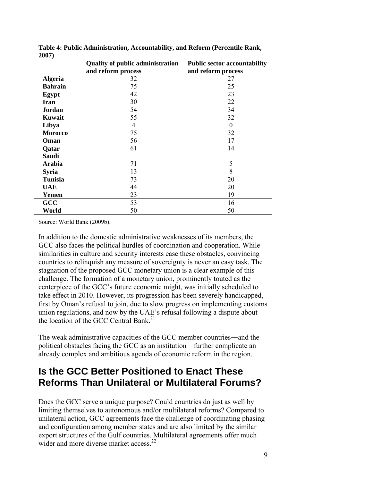| 400 L J        |                                         |                                     |
|----------------|-----------------------------------------|-------------------------------------|
|                | <b>Quality of public administration</b> | <b>Public sector accountability</b> |
|                | and reform process                      | and reform process                  |
| <b>Algeria</b> | 32                                      | 27                                  |
| <b>Bahrain</b> | 75                                      | 25                                  |
| Egypt          | 42                                      | 23                                  |
| <b>Iran</b>    | 30                                      | 22                                  |
| Jordan         | 54                                      | 34                                  |
| Kuwait         | 55                                      | 32                                  |
| Libya          | 4                                       | $\Omega$                            |
| <b>Morocco</b> | 75                                      | 32                                  |
| Oman           | 56                                      | 17                                  |
| Qatar          | 61                                      | 14                                  |
| <b>Saudi</b>   |                                         |                                     |
| <b>Arabia</b>  | 71                                      | 5                                   |
| <b>Syria</b>   | 13                                      | 8                                   |
| <b>Tunisia</b> | 73                                      | 20                                  |
| <b>UAE</b>     | 44                                      | 20                                  |
| Yemen          | 23                                      | 19                                  |
| <b>GCC</b>     | 53                                      | 16                                  |
| World          | 50                                      | 50                                  |

**Table 4: Public Administration, Accountability, and Reform (Percentile Rank, 2007)** 

Source: World Bank (2009b).

In addition to the domestic administrative weaknesses of its members, the GCC also faces the political hurdles of coordination and cooperation. While similarities in culture and security interests ease these obstacles, convincing countries to relinquish any measure of sovereignty is never an easy task. The stagnation of the proposed GCC monetary union is a clear example of this challenge. The formation of a monetary union, prominently touted as the centerpiece of the GCC's future economic might, was initially scheduled to take effect in 2010. However, its progression has been severely handicapped, first by Oman's refusal to join, due to slow progress on implementing customs union regulations, and now by the UAE's refusal following a dispute about the location of the GCC Central Bank.<sup>21</sup>

The weak administrative capacities of the GCC member countries―and the political obstacles facing the GCC as an institution―further complicate an already complex and ambitious agenda of economic reform in the region.

### **Is the GCC Better Positioned to Enact These Reforms Than Unilateral or Multilateral Forums?**

Does the GCC serve a unique purpose? Could countries do just as well by limiting themselves to autonomous and/or multilateral reforms? Compared to unilateral action, GCC agreements face the challenge of coordinating phasing and configuration among member states and are also limited by the similar export structures of the Gulf countries. Multilateral agreements offer much wider and more diverse market access.<sup>22</sup>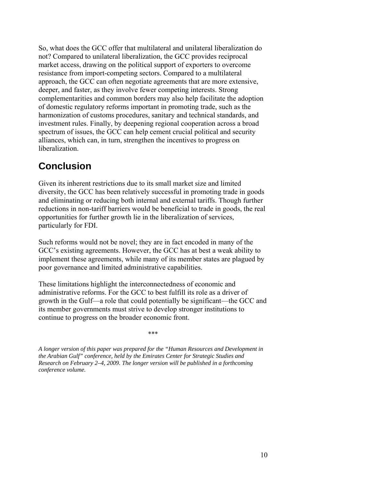So, what does the GCC offer that multilateral and unilateral liberalization do not? Compared to unilateral liberalization, the GCC provides reciprocal market access, drawing on the political support of exporters to overcome resistance from import-competing sectors. Compared to a multilateral approach, the GCC can often negotiate agreements that are more extensive, deeper, and faster, as they involve fewer competing interests. Strong complementarities and common borders may also help facilitate the adoption of domestic regulatory reforms important in promoting trade, such as the harmonization of customs procedures, sanitary and technical standards, and investment rules. Finally, by deepening regional cooperation across a broad spectrum of issues, the GCC can help cement crucial political and security alliances, which can, in turn, strengthen the incentives to progress on liberalization.

### **Conclusion**

Given its inherent restrictions due to its small market size and limited diversity, the GCC has been relatively successful in promoting trade in goods and eliminating or reducing both internal and external tariffs. Though further reductions in non-tariff barriers would be beneficial to trade in goods, the real opportunities for further growth lie in the liberalization of services, particularly for FDI.

Such reforms would not be novel; they are in fact encoded in many of the GCC's existing agreements. However, the GCC has at best a weak ability to implement these agreements, while many of its member states are plagued by poor governance and limited administrative capabilities.

These limitations highlight the interconnectedness of economic and administrative reforms. For the GCC to best fulfill its role as a driver of growth in the Gulf—a role that could potentially be significant—the GCC and its member governments must strive to develop stronger institutions to continue to progress on the broader economic front.

\*\*\*

*A longer version of this paper was prepared for the "Human Resources and Development in the Arabian Gulf" conference, held by the Emirates Center for Strategic Studies and Research on February 2–4, 2009. The longer version will be published in a forthcoming conference volume.*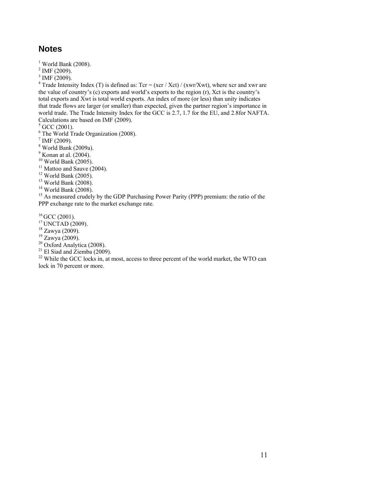#### **Notes**

 $<sup>1</sup>$  World Bank (2008).</sup>

 $2$  IMF (2009).

 $3$  IMF (2009).

<sup>4</sup> Trade Intensity Index (T) is defined as: Tcr = (xcr / Xct) / (xwr/Xwt), where xcr and xwr are the value of country's (c) exports and world's exports to the region (r), Xct is the country's total exports and Xwt is total world exports. An index of more (or less) than unity indicates that trade flows are larger (or smaller) than expected, given the partner region's importance in world trade. The Trade Intensity Index for the GCC is 2.7, 1.7 for the EU, and 2.8for NAFTA. Calculations are based on IMF (2009).

 $<sup>5</sup>$  GCC (2001).<br><sup>6</sup> The World Trade Organization (2008).</sup>

 $^7$  IMF (2009).

8 World Bank (2009a).

 $<sup>9</sup>$  Konan at al. (2004).</sup>

 $10$  World Bank (2005).

<sup>11</sup> Mattoo and Sauve (2004).

 $12$  World Bank (2005).

 $13$  World Bank (2008).

 $14$  World Bank (2008).

<sup>15</sup> As measured crudely by the GDP Purchasing Power Parity (PPP) premium: the ratio of the PPP exchange rate to the market exchange rate.

<sup>16</sup> GCC (2001).<br><sup>17</sup> UNCTAD (2009).<br><sup>18</sup> Zawya (2009).

19 Zawya (2009).

 $20$  Oxford Analytica (2008).

 $21$  El Siad and Ziemba (2009).

 $22$  While the GCC locks in, at most, access to three percent of the world market, the WTO can lock in 70 percent or more.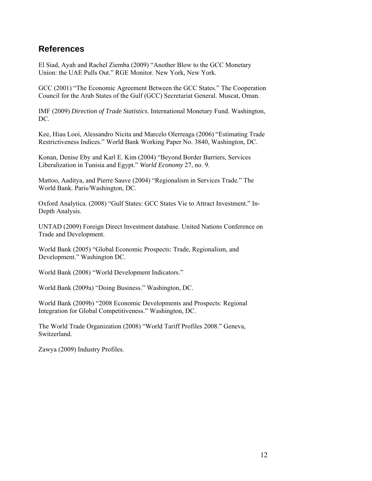#### **References**

El Siad, Ayah and Rachel Ziemba (2009) "Another Blow to the GCC Monetary Union: the UAE Pulls Out." RGE Monitor. New York, New York.

GCC (2001) "The Economic Agreement Between the GCC States." The Cooperation Council for the Arab States of the Gulf (GCC) Secretariat General. Muscat, Oman.

IMF (2009) *Direction of Trade Statistics*. International Monetary Fund. Washington, DC.

Kee, Hiau Looi, Alessandro Nicita and Marcelo Olerreaga (2006) "Estimating Trade Restrictiveness Indices." World Bank Working Paper No. 3840, Washington, DC.

Konan, Denise Eby and Karl E. Kim (2004) "Beyond Border Barriers, Services Liberalization in Tunisia and Egypt." *World Economy* 27, no. 9.

Mattoo, Aaditya, and Pierre Sauve (2004) "Regionalism in Services Trade*.*" The World Bank. Paris/Washington, DC.

Oxford Analytica. (2008) "Gulf States: GCC States Vie to Attract Investment." In-Depth Analysis.

UNTAD (2009) Foreign Direct Investment database. United Nations Conference on Trade and Development.

World Bank (2005) "Global Economic Prospects: Trade, Regionalism, and Development." Washington DC.

World Bank (2008) "World Development Indicators."

World Bank (2009a) "Doing Business." Washington, DC.

World Bank (2009b) "2008 Economic Developments and Prospects: Regional Integration for Global Competitiveness." Washington, DC.

The World Trade Organization (2008) "World Tariff Profiles 2008." Geneva, Switzerland.

Zawya (2009) Industry Profiles.